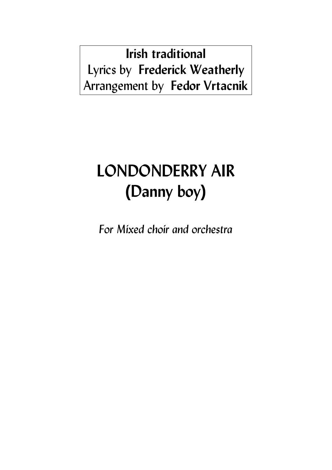**Irish traditional** Lyrics by **Frederick Weatherly**  Arrangement by **Fedor Vrtacnik**

## **LONDONDERRY AIR (Danny boy)**

*For Mixed choir and orchestra*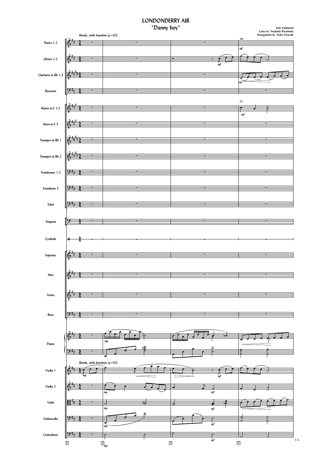## **LONDONDERRY AIR**